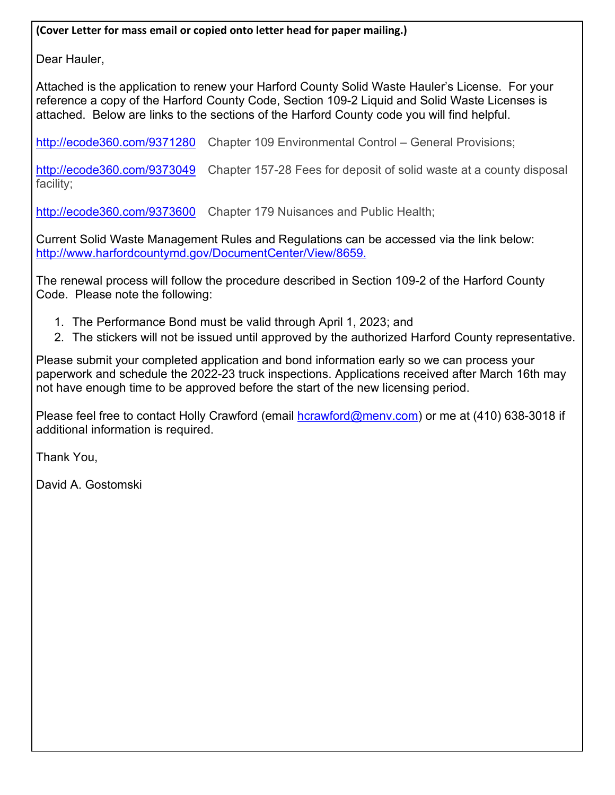**(Cover Letter for mass email or copied onto letter head for paper mailing.)** 

Dear Hauler,

Attached is the application to renew your Harford County Solid Waste Hauler's License. For your reference a copy of the Harford County Code, Section 109-2 Liquid and Solid Waste Licenses is attached. Below are links to the sections of the Harford County code you will find helpful.

http://ecode360.com/9371280 Chapter 109 Environmental Control – General Provisions;

http://ecode360.com/9373049 Chapter 157-28 Fees for deposit of solid waste at a county disposal facility;

http://ecode360.com/9373600 Chapter 179 Nuisances and Public Health;

Current Solid Waste Management Rules and Regulations can be accessed via the link below: http://www.harfordcountymd.gov/DocumentCenter/View/8659.

The renewal process will follow the procedure described in Section 109-2 of the Harford County Code. Please note the following:

- 1. The Performance Bond must be valid through April 1, 2023; and
- 2. The stickers will not be issued until approved by the authorized Harford County representative.

Please submit your completed application and bond information early so we can process your paperwork and schedule the 2022-23 truck inspections. Applications received after March 16th may not have enough time to be approved before the start of the new licensing period.

Please feel free to contact Holly Crawford (email hcrawford@menv.com) or me at (410) 638-3018 if additional information is required.

Thank You,

David A. Gostomski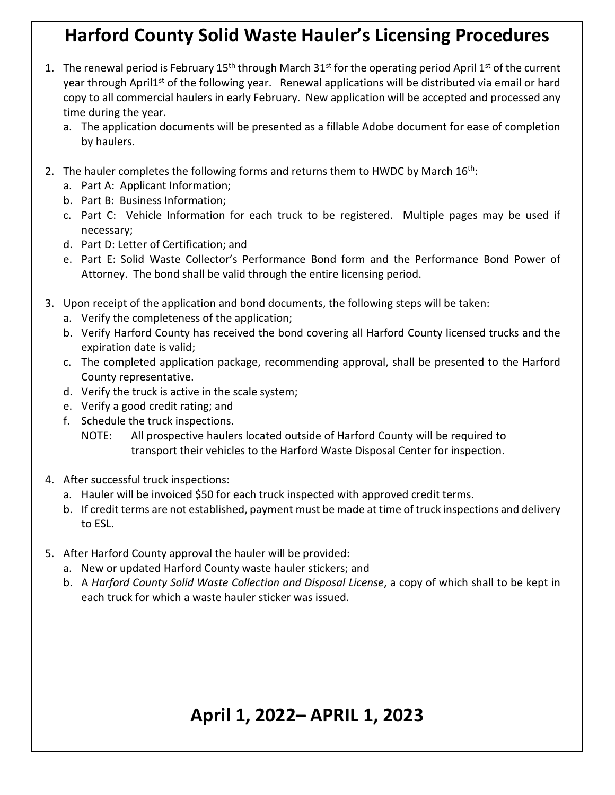# **Harford County Solid Waste Hauler's Licensing Procedures**

- 1. The renewal period is February  $15<sup>th</sup>$  through March  $31<sup>st</sup>$  for the operating period April  $1<sup>st</sup>$  of the current year through April1<sup>st</sup> of the following year. Renewal applications will be distributed via email or hard copy to all commercial haulers in early February. New application will be accepted and processed any time during the year.
	- a. The application documents will be presented as a fillable Adobe document for ease of completion by haulers.
- 2. The hauler completes the following forms and returns them to HWDC by March  $16<sup>th</sup>$ :
	- a. Part A: Applicant Information;
	- b. Part B: Business Information;
	- c. Part C: Vehicle Information for each truck to be registered. Multiple pages may be used if necessary;
	- d. Part D: Letter of Certification; and
	- e. Part E: Solid Waste Collector's Performance Bond form and the Performance Bond Power of Attorney. The bond shall be valid through the entire licensing period.
- 3. Upon receipt of the application and bond documents, the following steps will be taken:
	- a. Verify the completeness of the application;
	- b. Verify Harford County has received the bond covering all Harford County licensed trucks and the expiration date is valid;
	- c. The completed application package, recommending approval, shall be presented to the Harford County representative.
	- d. Verify the truck is active in the scale system;
	- e. Verify a good credit rating; and
	- f. Schedule the truck inspections.
		- NOTE: All prospective haulers located outside of Harford County will be required to transport their vehicles to the Harford Waste Disposal Center for inspection.
- 4. After successful truck inspections:
	- a. Hauler will be invoiced \$50 for each truck inspected with approved credit terms.
	- b. If credit terms are not established, payment must be made at time of truck inspections and delivery to ESL.
- 5. After Harford County approval the hauler will be provided:
	- a. New or updated Harford County waste hauler stickers; and
	- b. A *Harford County Solid Waste Collection and Disposal License*, a copy of which shall to be kept in each truck for which a waste hauler sticker was issued.

# **April 1, 2022– APRIL 1, 2023**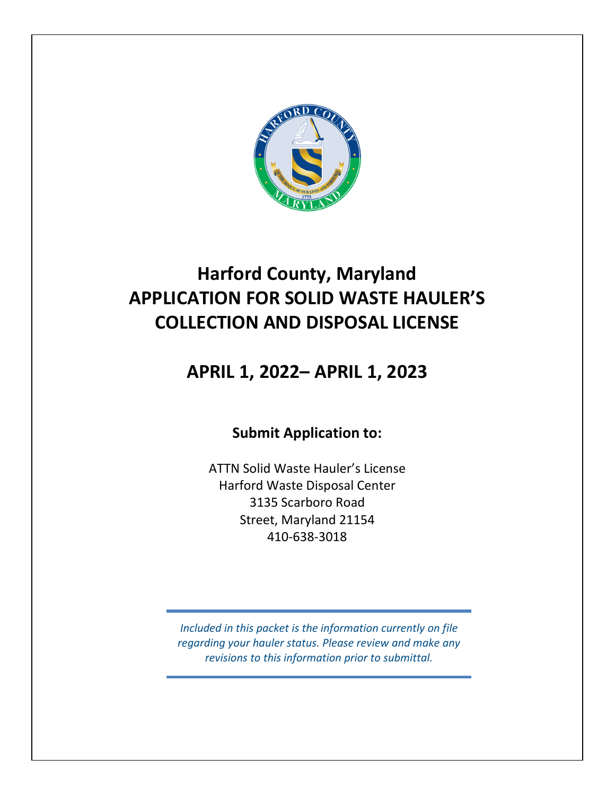

# **Harford County, Maryland APPLICATION FOR SOLID WASTE HAULER'S COLLECTION AND DISPOSAL LICENSE**

## **APRIL 1, 2022– APRIL 1, 2023**

## **Submit Application to:**

ATTN Solid Waste Hauler's License Harford Waste Disposal Center 3135 Scarboro Road Street, Maryland 21154 410-638-3018

*Included in this packet is the information currently on file regarding your hauler status. Please review and make any revisions to this information prior to submittal.*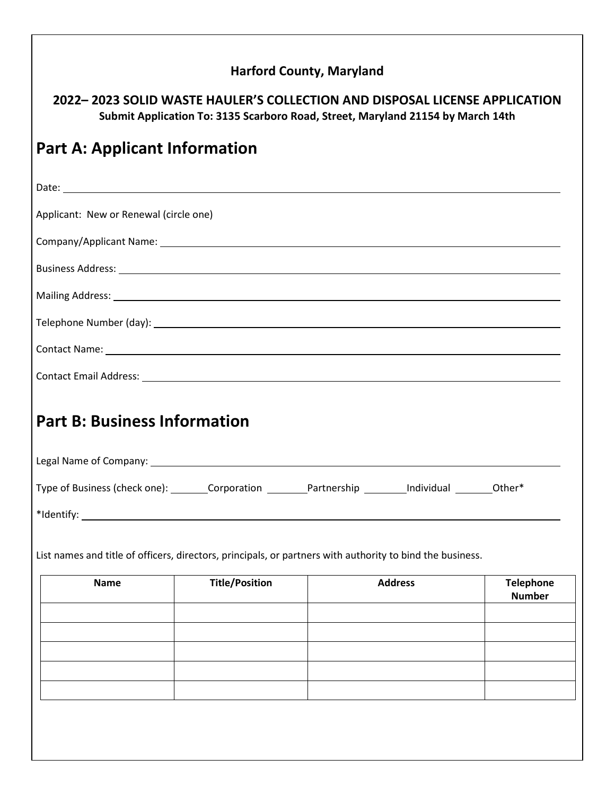#### **Harford County, Maryland**

**2022– 2023 SOLID WASTE HAULER'S COLLECTION AND DISPOSAL LICENSE APPLICATION Submit Application To: 3135 Scarboro Road, Street, Maryland 21154 by March 14th** 

# **Part A: Applicant Information**  Date: Applicant: New or Renewal (circle one) Company/Applicant Name: Business Address: Mailing Address: Telephone Number (day): Contact Name: Contact Email Address: **Part B: Business Information**  Legal Name of Company: Type of Business (check one): Corporation Partnership Individual Other\* \*Identify: List names and title of officers, directors, principals, or partners with authority to bind the business. **Name Title/Position Address Telephone Number**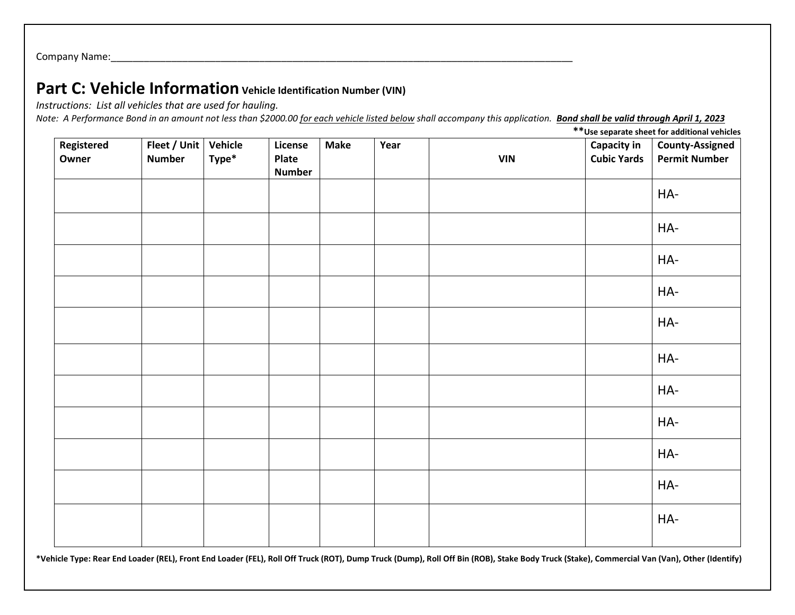Company Name:

### **Part C: Vehicle Information Vehicle Identification Number (VIN)**

*Instructions: List all vehicles that are used for hauling.* 

*Note: A Performance Bond in an amount not less than \$2000.00 for each vehicle listed below shall accompany this application. Bond shall be valid through April 1, 2023* 

**Registered Owner Fleet / Unit Vehicle Number Type\* License Plate Number Make Year VIN Capacity in Cubic Yards County-Assigned Permit Number** HA-HA-HA-HA-HA-HA-HA-HA-HA-HA-HA-

**\*\*Use separate sheet for additional vehicles**

**\*Vehicle Type: Rear End Loader (REL), Front End Loader (FEL), Roll Off Truck (ROT), Dump Truck (Dump), Roll Off Bin (ROB), Stake Body Truck (Stake), Commercial Van (Van), Other (Identify)**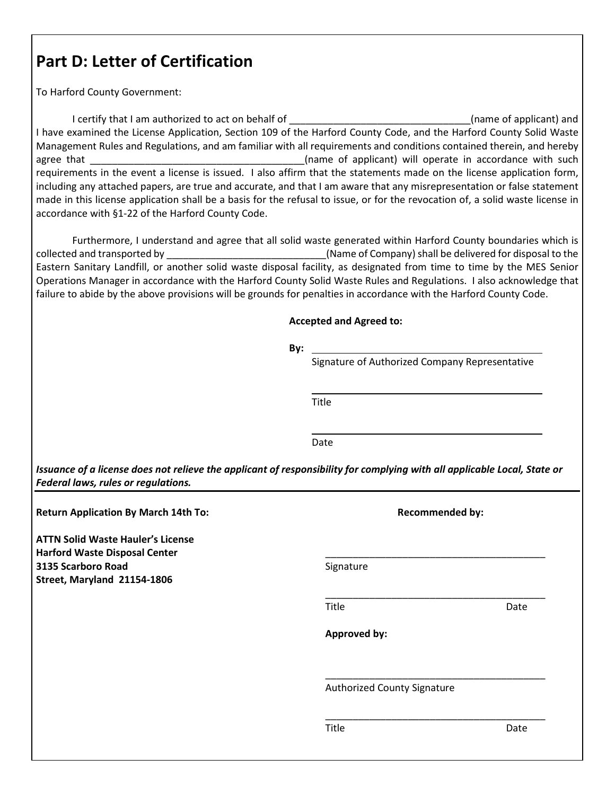## **Part D: Letter of Certification**

To Harford County Government:

I certify that I am authorized to act on behalf of \_\_\_\_\_\_\_\_\_\_\_\_\_\_\_\_\_\_\_\_\_\_\_\_\_\_\_\_\_\_(name of applicant) and I have examined the License Application, Section 109 of the Harford County Code, and the Harford County Solid Waste Management Rules and Regulations, and am familiar with all requirements and conditions contained therein, and hereby agree that **the contract of the contract of applicant**) will operate in accordance with such requirements in the event a license is issued. I also affirm that the statements made on the license application form, including any attached papers, are true and accurate, and that I am aware that any misrepresentation or false statement made in this license application shall be a basis for the refusal to issue, or for the revocation of, a solid waste license in accordance with §1-22 of the Harford County Code.

 Furthermore, I understand and agree that all solid waste generated within Harford County boundaries which is collected and transported by \_\_\_\_\_\_\_\_\_\_\_\_\_\_\_\_\_\_\_\_\_\_\_\_\_\_\_\_\_(Name of Company) shall be delivered for disposal to the Eastern Sanitary Landfill, or another solid waste disposal facility, as designated from time to time by the MES Senior Operations Manager in accordance with the Harford County Solid Waste Rules and Regulations. I also acknowledge that failure to abide by the above provisions will be grounds for penalties in accordance with the Harford County Code.

#### **Accepted and Agreed to:**

| By:                                                                                                                                                             |                                                                 |      |
|-----------------------------------------------------------------------------------------------------------------------------------------------------------------|-----------------------------------------------------------------|------|
|                                                                                                                                                                 | Signature of Authorized Company Representative<br>Title<br>Date |      |
|                                                                                                                                                                 |                                                                 |      |
|                                                                                                                                                                 |                                                                 |      |
| Issuance of a license does not relieve the applicant of responsibility for complying with all applicable Local, State or<br>Federal laws, rules or regulations. |                                                                 |      |
| <b>Return Application By March 14th To:</b>                                                                                                                     | <b>Recommended by:</b>                                          |      |
| <b>ATTN Solid Waste Hauler's License</b><br><b>Harford Waste Disposal Center</b>                                                                                |                                                                 |      |
| 3135 Scarboro Road<br>Street, Maryland 21154-1806                                                                                                               | Signature                                                       |      |
|                                                                                                                                                                 | Title                                                           | Date |
|                                                                                                                                                                 | <b>Approved by:</b>                                             |      |
|                                                                                                                                                                 | Authorized County Signature                                     |      |
|                                                                                                                                                                 | Title                                                           | Date |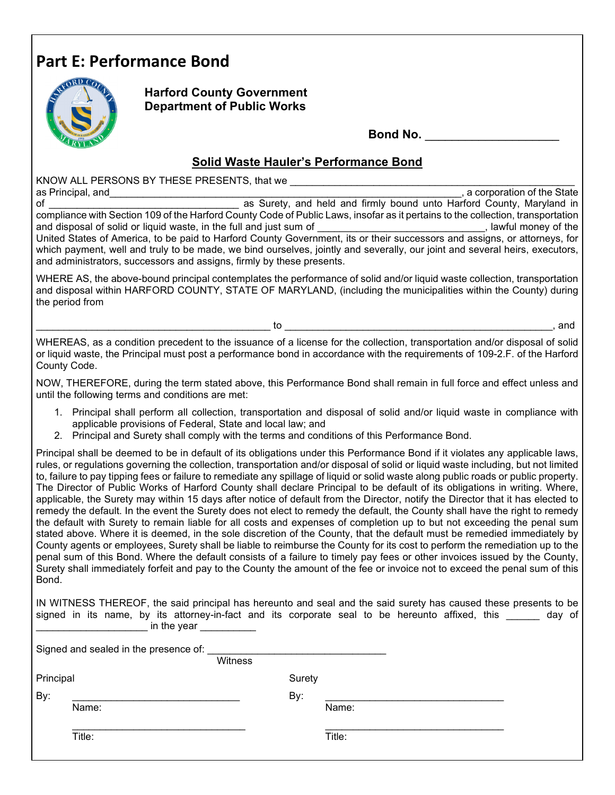## **Part E: Performance Bond**



**Harford County Government Department of Public Works** 

**Bond No.** \_\_\_\_\_\_\_\_\_\_\_\_\_\_\_\_\_\_\_\_\_

#### **Solid Waste Hauler's Performance Bond**

KNOW ALL PERSONS BY THESE PRESENTS, that we as Principal, and **and the State** of the State of the State of the State of the State of the State of the State

of \_\_\_\_\_\_\_\_\_\_\_\_\_\_\_\_\_\_\_\_\_\_\_\_\_\_\_\_\_\_\_\_\_\_ as Surety, and held and firmly bound unto Harford County, Maryland in compliance with Section 109 of the Harford County Code of Public Laws, insofar as it pertains to the collection, transportation and disposal of solid or liquid waste, in the full and just sum of \_\_\_\_\_\_\_\_\_\_\_\_\_\_\_\_\_\_\_\_\_\_\_\_, lawful money of the United States of America, to be paid to Harford County Government, its or their successors and assigns, or attorneys, for which payment, well and truly to be made, we bind ourselves, jointly and severally, our joint and several heirs, executors, and administrators, successors and assigns, firmly by these presents.

WHERE AS, the above-bound principal contemplates the performance of solid and/or liquid waste collection, transportation and disposal within HARFORD COUNTY, STATE OF MARYLAND, (including the municipalities within the County) during the period from

\_\_\_\_\_\_\_\_\_\_\_\_\_\_\_\_\_\_\_\_\_\_\_\_\_\_\_\_\_\_\_\_\_\_\_\_\_\_\_\_\_\_ to \_\_\_\_\_\_\_\_\_\_\_\_\_\_\_\_\_\_\_\_\_\_\_\_\_\_\_\_\_\_\_\_\_\_\_\_\_\_\_\_\_\_\_\_\_\_\_\_, and

WHEREAS, as a condition precedent to the issuance of a license for the collection, transportation and/or disposal of solid or liquid waste, the Principal must post a performance bond in accordance with the requirements of 109-2.F. of the Harford County Code.

NOW, THEREFORE, during the term stated above, this Performance Bond shall remain in full force and effect unless and until the following terms and conditions are met:

- 1. Principal shall perform all collection, transportation and disposal of solid and/or liquid waste in compliance with applicable provisions of Federal, State and local law; and
- 2. Principal and Surety shall comply with the terms and conditions of this Performance Bond.

Principal shall be deemed to be in default of its obligations under this Performance Bond if it violates any applicable laws, rules, or regulations governing the collection, transportation and/or disposal of solid or liquid waste including, but not limited to, failure to pay tipping fees or failure to remediate any spillage of liquid or solid waste along public roads or public property. The Director of Public Works of Harford County shall declare Principal to be default of its obligations in writing. Where, applicable, the Surety may within 15 days after notice of default from the Director, notify the Director that it has elected to remedy the default. In the event the Surety does not elect to remedy the default, the County shall have the right to remedy the default with Surety to remain liable for all costs and expenses of completion up to but not exceeding the penal sum stated above. Where it is deemed, in the sole discretion of the County, that the default must be remedied immediately by County agents or employees, Surety shall be liable to reimburse the County for its cost to perform the remediation up to the penal sum of this Bond. Where the default consists of a failure to timely pay fees or other invoices issued by the County, Surety shall immediately forfeit and pay to the County the amount of the fee or invoice not to exceed the penal sum of this Bond.

IN WITNESS THEREOF, the said principal has hereunto and seal and the said surety has caused these presents to be signed in its name, by its attorney-in-fact and its corporate seal to be hereunto affixed, this cay of  $\mathsf{in}$  the year  $\blacksquare$ 

Signed and sealed in the presence of:

Principal Surety

**Witness** 

By: \_\_\_\_\_\_\_\_\_\_\_\_\_\_\_\_\_\_\_\_\_\_\_\_\_\_\_\_\_\_ By: \_\_\_\_\_\_\_\_\_\_\_\_\_\_\_\_\_\_\_\_\_\_\_\_\_\_\_\_\_\_\_\_

Name: Name:

\_\_\_\_\_\_\_\_\_\_\_\_\_\_\_\_\_\_\_\_\_\_\_\_\_\_\_\_\_\_\_ \_\_\_\_\_\_\_\_\_\_\_\_\_\_\_\_\_\_\_\_\_\_\_\_\_\_\_\_\_\_\_\_

Title: Title: Title: Title: Title: Title: Title: Title: Title: Title: Title: Title: Title: Title: Title: Title: Title: Title: Title: Title: Title: Title: Title: Title: Title: Title: Title: Title: Title: Title: Title: Title